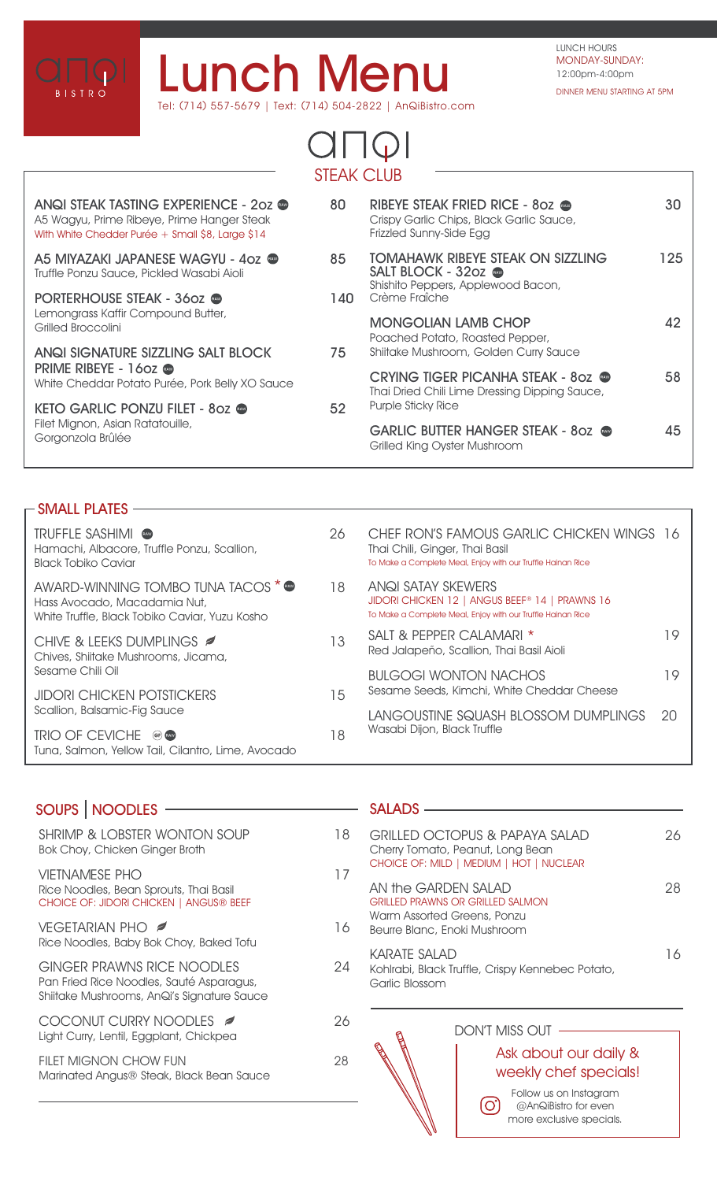

# **Lunch Menu** Tel: (714) 557-5679 | Text: (714) 504-2822 | AnQiBistro.com

## $C\Box\Box$ STEAK CLUB

| ANQI STEAK TASTING EXPERIENCE - 202 @<br>A5 Wagyu, Prime Ribeye, Prime Hanger Steak<br>With White Chedder Purée + Small \$8, Large \$14 | 80   | RIBEYE STEAK FRIED RICE - 80Z<br>Crispy Garlic Chips, Black Garlic Sauce,<br>Frizzled Sunny-Side Egg                 | 30  |
|-----------------------------------------------------------------------------------------------------------------------------------------|------|----------------------------------------------------------------------------------------------------------------------|-----|
| A5 MIYAZAKI JAPANESE WAGYU - 4oz ●<br>Truffle Ponzu Sauce, Pickled Wasabi Aioli                                                         | 85   | <b>TOMAHAWK RIBEYE STEAK ON SIZZLING</b><br>SALT BLOCK - 32oz<br>Shishito Peppers, Applewood Bacon,<br>Crème Fraîche | 125 |
| PORTERHOUSE STEAK - 360z<br>Lemongrass Kaffir Compound Butter,<br>Grilled Broccolini                                                    | 140. |                                                                                                                      |     |
|                                                                                                                                         |      | <b>MONGOLIAN LAMB CHOP</b><br>Poached Potato, Roasted Pepper,                                                        | 42  |
| ANQI SIGNATURE SIZZLING SALT BLOCK<br>PRIME RIBEYE - 1602 ®<br>White Cheddar Potato Purée, Pork Belly XO Sauce                          | 75   | Shiitake Mushroom, Golden Curry Sauce                                                                                |     |
|                                                                                                                                         |      | <b>CRYING TIGER PICANHA STEAK - 80Z @</b><br>Thai Dried Chili Lime Dressing Dipping Sauce,                           | 58  |
| KETO GARLIC PONZU FILET - 802<br>Filet Mignon, Asian Ratatouille,<br>Gorgonzola Brûlée                                                  | 52   | Purple Sticky Rice                                                                                                   |     |
|                                                                                                                                         |      | GARLIC BUTTER HANGER STEAK - 80Z<br>Grilled King Oyster Mushroom                                                     | 45  |
|                                                                                                                                         |      |                                                                                                                      |     |

### **SMALL PLATES**

| UIVI/ \LL I L/ \I LV                                                                                                 |    |                                                                                                                                                 |    |
|----------------------------------------------------------------------------------------------------------------------|----|-------------------------------------------------------------------------------------------------------------------------------------------------|----|
| <b>TRUFFLE SASHIMI @</b><br>Hamachi, Albacore, Truffle Ponzu, Scallion,<br>Black Tobiko Caviar                       | 26 | CHEF RON'S FAMOUS GARLIC CHICKEN WINGS 16<br>Thai Chili, Ginger, Thai Basil<br>To Make a Complete Meal, Enjoy with our Truffle Hainan Rice      |    |
| AWARD-WINNING TOMBO TUNA TACOS * @<br>Hass Avocado, Macadamia Nut,<br>White Truffle, Black Tobiko Caviar, Yuzu Kosho | 18 | ANQI SATAY SKEWERS<br>JIDORI CHICKEN 12   ANGUS BEEF <sup>®</sup> 14   PRAWNS 16<br>To Make a Complete Meal, Enjoy with our Truffle Hainan Rice |    |
| CHIVE & LEEKS DUMPLINGS <b>Ø</b><br>Chives, Shiitake Mushrooms, Jicama,<br>Sesame Chili Oil                          | 13 | SALT & PEPPER CALAMARI *<br>Red Jalapeño, Scallion, Thai Basil Aioli                                                                            | 19 |
|                                                                                                                      |    | <b>BULGOGI WONTON NACHOS</b>                                                                                                                    | 19 |
| <b>JIDORI CHICKEN POTSTICKERS</b><br>Scallion, Balsamic-Fig Sauce                                                    | 15 | Sesame Seeds, Kimchi, White Cheddar Cheese                                                                                                      |    |
|                                                                                                                      |    | LANGOUSTINE SQUASH BLOSSOM DUMPLINGS                                                                                                            | 20 |
| TRIO OF CEVICHE @<br>Tuna, Salmon, Yellow Tail, Cilantro, Lime, Avocado                                              | 18 | Wasabi Dijon, Black Truffle                                                                                                                     |    |

| <b>SOUPS   NOODLES</b>                                                                                                      |    |
|-----------------------------------------------------------------------------------------------------------------------------|----|
|                                                                                                                             |    |
| <b>SHRIMP &amp; LOBSTER WONTON SOUP</b><br>Bok Choy, Chicken Ginger Broth                                                   | 18 |
| <b>VIETNAMESE PHO</b><br>Rice Noodles, Bean Sprouts, Thai Basil<br>CHOICE OF: JIDORI CHICKEN   ANGUS® BEEF                  | 17 |
| <b>VEGETARIAN PHO</b><br>Rice Noodles, Baby Bok Choy, Baked Tofu                                                            | 16 |
| <b>GINGER PRAWNS RICE NOODLES</b><br>Pan Fried Rice Noodles, Sauté Asparagus,<br>Shiitake Mushrooms, AnQi's Signature Sauce | 24 |
| COCONUT CURRY NOODLES<br>Light Curry, Lentil, Eggplant, Chickpea                                                            | 26 |
| <b>FILET MIGNON CHOW FUN</b><br>Marinated Angus® Steak, Black Bean Sauce                                                    | 28 |

#### - SALADS —

|                                                                                     | GRILLED OCTOPUS & PAPAYA SALAD<br>Cherry Tomato, Peanut, Long Bean<br>CHOICE OF: MILD   MEDIUM   HOT   NUCLEAR         | クト |  |
|-------------------------------------------------------------------------------------|------------------------------------------------------------------------------------------------------------------------|----|--|
|                                                                                     | AN the GARDEN SALAD<br>GRILLED PRAWNS OR GRILLED SALMON<br>Warm Assorted Greens, Ponzu<br>Beurre Blanc, Enoki Mushroom |    |  |
| KARATE SAI AD<br>Kohlrabi, Black Truffle, Crispy Kennebec Potato,<br>Garlic Blossom |                                                                                                                        | 16 |  |
| ۴۰                                                                                  | DON'T MISS OUT                                                                                                         |    |  |

## Ask about our daily & weekly chef specials!

Follow us on Instagram (ි @AnQiBistro for even more exclusive specials.